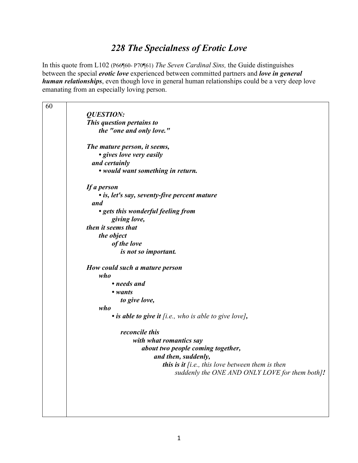## *228 The Specialness of Erotic Love*

In this quote from L102 (P66¶60- P70¶61) *The Seven Cardinal Sins,* the Guide distinguishes between the special *erotic love* experienced between committed partners and *love in general human relationships*, even though love in general human relationships could be a very deep love emanating from an especially loving person.

| 60 |                                                        |
|----|--------------------------------------------------------|
|    | <b>QUESTION:</b>                                       |
|    | This question pertains to                              |
|    | the "one and only love."                               |
|    |                                                        |
|    | The mature person, it seems,                           |
|    | • gives love very easily                               |
|    | and certainly                                          |
|    | • would want something in return.                      |
|    | If a person                                            |
|    | • is, let's say, seventy-five percent mature           |
|    | and                                                    |
|    | • gets this wonderful feeling from                     |
|    | giving love,                                           |
|    | then it seems that                                     |
|    | the object                                             |
|    | of the love                                            |
|    | is not so important.                                   |
|    | How could such a mature person                         |
|    | who                                                    |
|    | • needs and                                            |
|    | • wants                                                |
|    | to give love,                                          |
|    | who                                                    |
|    | • is able to give it [i.e., who is able to give love], |
|    | reconcile this                                         |
|    | with what romantics say                                |
|    | about two people coming together,                      |
|    | and then, suddenly,                                    |
|    | this is it $[i.e., this love between them is then$     |
|    | suddenly the ONE AND ONLY LOVE for them both]!         |
|    |                                                        |
|    |                                                        |
|    |                                                        |
|    |                                                        |
|    |                                                        |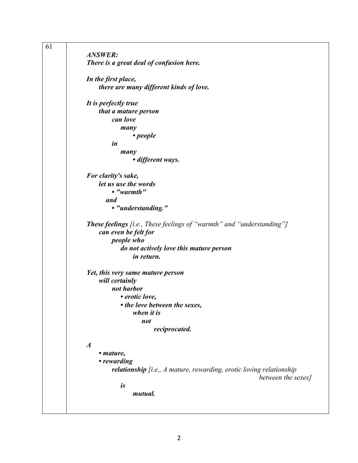| 61 |                                                                       |
|----|-----------------------------------------------------------------------|
|    | <b>ANSWER:</b>                                                        |
|    | There is a great deal of confusion here.                              |
|    | In the first place,                                                   |
|    | there are many different kinds of love.                               |
|    | It is perfectly true                                                  |
|    | that a mature person                                                  |
|    | can love                                                              |
|    | many                                                                  |
|    | $\cdot$ people                                                        |
|    | in                                                                    |
|    |                                                                       |
|    | many                                                                  |
|    | • different ways.                                                     |
|    | For clarity's sake,                                                   |
|    | let us use the words                                                  |
|    | $\bullet$ "warmth"                                                    |
|    | and                                                                   |
|    | • "understanding."                                                    |
|    |                                                                       |
|    | These feelings [i.e., These feelings of "warmth" and "understanding"] |
|    | can even be felt for                                                  |
|    | people who                                                            |
|    | do not actively love this mature person                               |
|    | in return.                                                            |
|    |                                                                       |
|    | Yet, this very same mature person                                     |
|    | will certainly                                                        |
|    | not harbor                                                            |
|    | • erotic love,                                                        |
|    | • the love between the sexes,                                         |
|    | when it is                                                            |
|    |                                                                       |
|    | not                                                                   |
|    | reciprocated.                                                         |
|    | $\boldsymbol{A}$                                                      |
|    | • mature,                                                             |
|    | • rewarding                                                           |
|    |                                                                       |
|    | relationship [i.e., A mature, rewarding, erotic loving relationship   |
|    | between the sexes]                                                    |
|    | is                                                                    |
|    | mutual.                                                               |
|    |                                                                       |
|    |                                                                       |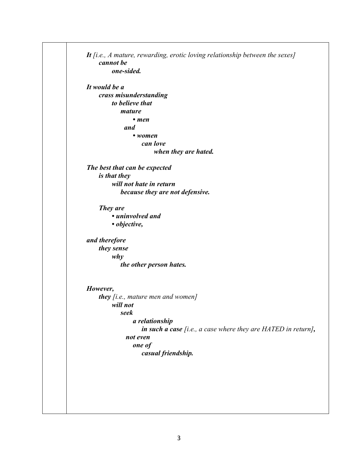|               | cannot be                                                       |
|---------------|-----------------------------------------------------------------|
|               | one-sided.                                                      |
| It would be a |                                                                 |
|               | crass misunderstanding                                          |
|               | to believe that                                                 |
|               | mature                                                          |
|               | $\bullet$ men                                                   |
|               | and                                                             |
|               | $\bullet$ women                                                 |
|               | can love                                                        |
|               | when they are hated.                                            |
|               | The best that can be expected                                   |
|               | <i>is that they</i>                                             |
|               | will not hate in return                                         |
|               | because they are not defensive.                                 |
|               |                                                                 |
| They are      |                                                                 |
|               | • uninvolved and                                                |
|               | · objective,                                                    |
| and therefore |                                                                 |
|               | they sense                                                      |
|               | why                                                             |
|               | the other person hates.                                         |
|               |                                                                 |
| However,      |                                                                 |
|               | they $[i.e.,$ mature men and women $]$                          |
|               | will not                                                        |
|               | seek                                                            |
|               | a relationship                                                  |
|               | in such a case $[i.e., a case where they are HATED in return],$ |
|               | not even                                                        |
|               | one of                                                          |
|               | casual friendship.                                              |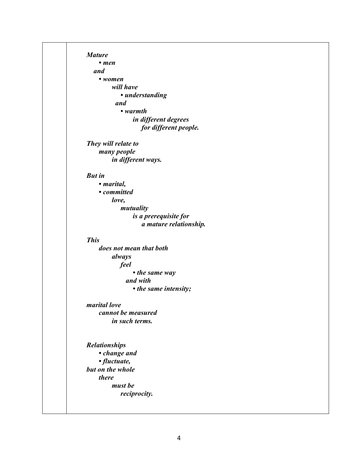| <b>Mature</b>                    |                         |
|----------------------------------|-------------------------|
| • men                            |                         |
| and                              |                         |
| • women                          |                         |
|                                  | will have               |
|                                  | • understanding         |
|                                  | and                     |
|                                  | $\bullet$ warmth        |
|                                  | in different degrees    |
|                                  | for different people.   |
| They will relate to              |                         |
|                                  | many people             |
|                                  | in different ways.      |
| <b>But in</b>                    |                         |
| · marital,                       |                         |
|                                  | • committed             |
|                                  | love,                   |
|                                  | mutuality               |
|                                  | is a prerequisite for   |
|                                  | a mature relationship.  |
| <b>This</b>                      |                         |
|                                  | does not mean that both |
|                                  | always                  |
|                                  | feel                    |
|                                  | • the same way          |
|                                  | and with                |
|                                  | • the same intensity;   |
| marital love                     |                         |
|                                  | cannot be measured      |
|                                  | in such terms.          |
|                                  |                         |
| <b>Relationships</b>             |                         |
|                                  | • change and            |
| · fluctuate,<br>but on the whole |                         |
| there                            |                         |
|                                  | must be                 |
|                                  | reciprocity.            |
|                                  |                         |